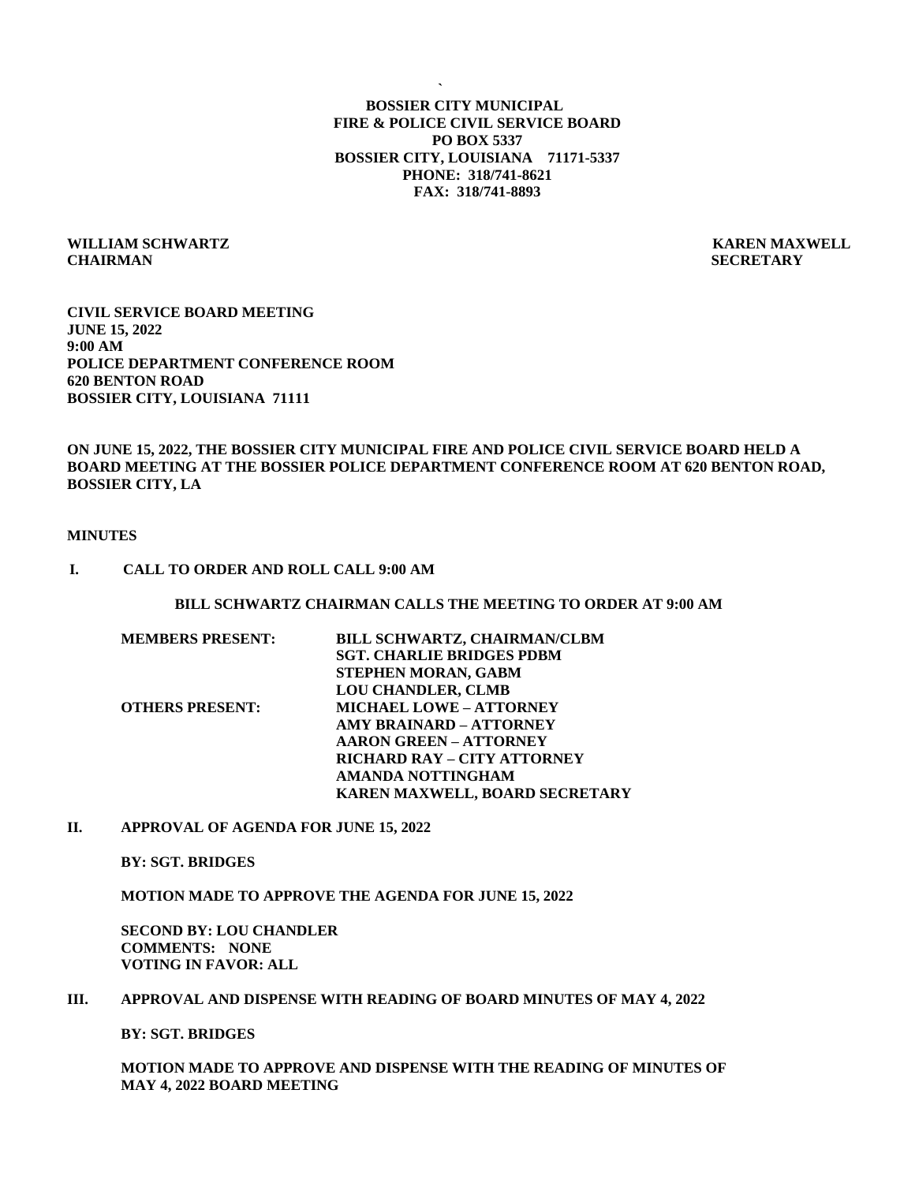**` BOSSIER CITY MUNICIPAL FIRE & POLICE CIVIL SERVICE BOARD PO BOX 5337 BOSSIER CITY, LOUISIANA 71171-5337 PHONE: 318/741-8621 FAX: 318/741-8893**

### **WILLIAM SCHWARTZ KAREN MAXWELL CHAIRMAN SECRETARY**

**CIVIL SERVICE BOARD MEETING JUNE 15, 2022 9:00 AM POLICE DEPARTMENT CONFERENCE ROOM 620 BENTON ROAD BOSSIER CITY, LOUISIANA 71111**

## **ON JUNE 15, 2022, THE BOSSIER CITY MUNICIPAL FIRE AND POLICE CIVIL SERVICE BOARD HELD A BOARD MEETING AT THE BOSSIER POLICE DEPARTMENT CONFERENCE ROOM AT 620 BENTON ROAD, BOSSIER CITY, LA**

#### **MINUTES**

#### **I. CALL TO ORDER AND ROLL CALL 9:00 AM**

### **BILL SCHWARTZ CHAIRMAN CALLS THE MEETING TO ORDER AT 9:00 AM**

| <b>MEMBERS PRESENT:</b> | BILL SCHWARTZ, CHAIRMAN/CLBM       |
|-------------------------|------------------------------------|
|                         | <b>SGT. CHARLIE BRIDGES PDBM</b>   |
|                         | STEPHEN MORAN, GABM                |
|                         | <b>LOU CHANDLER, CLMB</b>          |
| <b>OTHERS PRESENT:</b>  | <b>MICHAEL LOWE - ATTORNEY</b>     |
|                         | <b>AMY BRAINARD - ATTORNEY</b>     |
|                         | <b>AARON GREEN – ATTORNEY</b>      |
|                         | <b>RICHARD RAY - CITY ATTORNEY</b> |
|                         | AMANDA NOTTINGHAM                  |
|                         | KAREN MAXWELL, BOARD SECRETARY     |
|                         |                                    |

#### **II. APPROVAL OF AGENDA FOR JUNE 15, 2022**

**BY: SGT. BRIDGES**

**MOTION MADE TO APPROVE THE AGENDA FOR JUNE 15, 2022**

**SECOND BY: LOU CHANDLER COMMENTS: NONE VOTING IN FAVOR: ALL**

### **III. APPROVAL AND DISPENSE WITH READING OF BOARD MINUTES OF MAY 4, 2022**

**BY: SGT. BRIDGES**

**MOTION MADE TO APPROVE AND DISPENSE WITH THE READING OF MINUTES OF MAY 4, 2022 BOARD MEETING**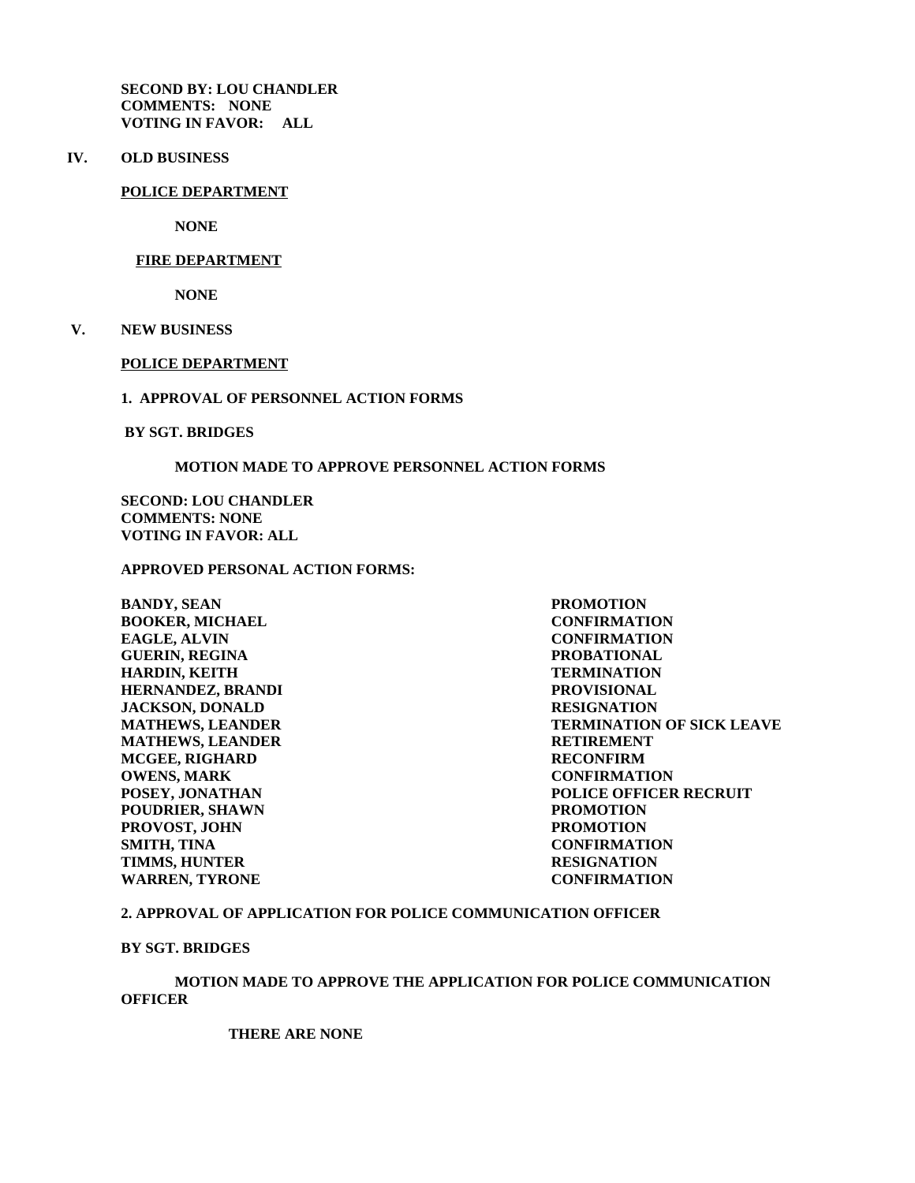**SECOND BY: LOU CHANDLER COMMENTS: NONE VOTING IN FAVOR: ALL**

**IV. OLD BUSINESS**

#### **POLICE DEPARTMENT**

**NONE**

#### **FIRE DEPARTMENT**

 **NONE**

 **V. NEW BUSINESS**

### **POLICE DEPARTMENT**

### **1. APPROVAL OF PERSONNEL ACTION FORMS**

 **BY SGT. BRIDGES**

### **MOTION MADE TO APPROVE PERSONNEL ACTION FORMS**

**SECOND: LOU CHANDLER COMMENTS: NONE VOTING IN FAVOR: ALL**

# **APPROVED PERSONAL ACTION FORMS:**

**BANDY, SEAN PROMOTION BOOKER, MICHAEL CONFIRMATION EAGLE, ALVIN CONFIRMATION GUERIN, REGINA PROBATIONAL HARDIN, KEITH TERMINATION HERNANDEZ, BRANDI PROVISIONAL JACKSON, DONALD RESIGNATION RESIGNATION**<br>**MATHEWS, LEANDER TERMINATION MATHEWS, LEANDER RETIREMENT MCGEE, RIGHARD RECONFIRM OWENS, MARK CONFIRMATION POUDRIER, SHAWN PROMOTION PROVOST, JOHN PROMOTION SMITH, TINA CONFIRMATION TIMMS, HUNTER RESIGNATION WARREN, TYRONE CONFIRMATION**

**TERMINATION OF SICK LEAVE POSEY, JONATHAN POLICE OFFICER RECRUIT**

### **2. APPROVAL OF APPLICATION FOR POLICE COMMUNICATION OFFICER**

**BY SGT. BRIDGES**

## **MOTION MADE TO APPROVE THE APPLICATION FOR POLICE COMMUNICATION OFFICER**

**THERE ARE NONE**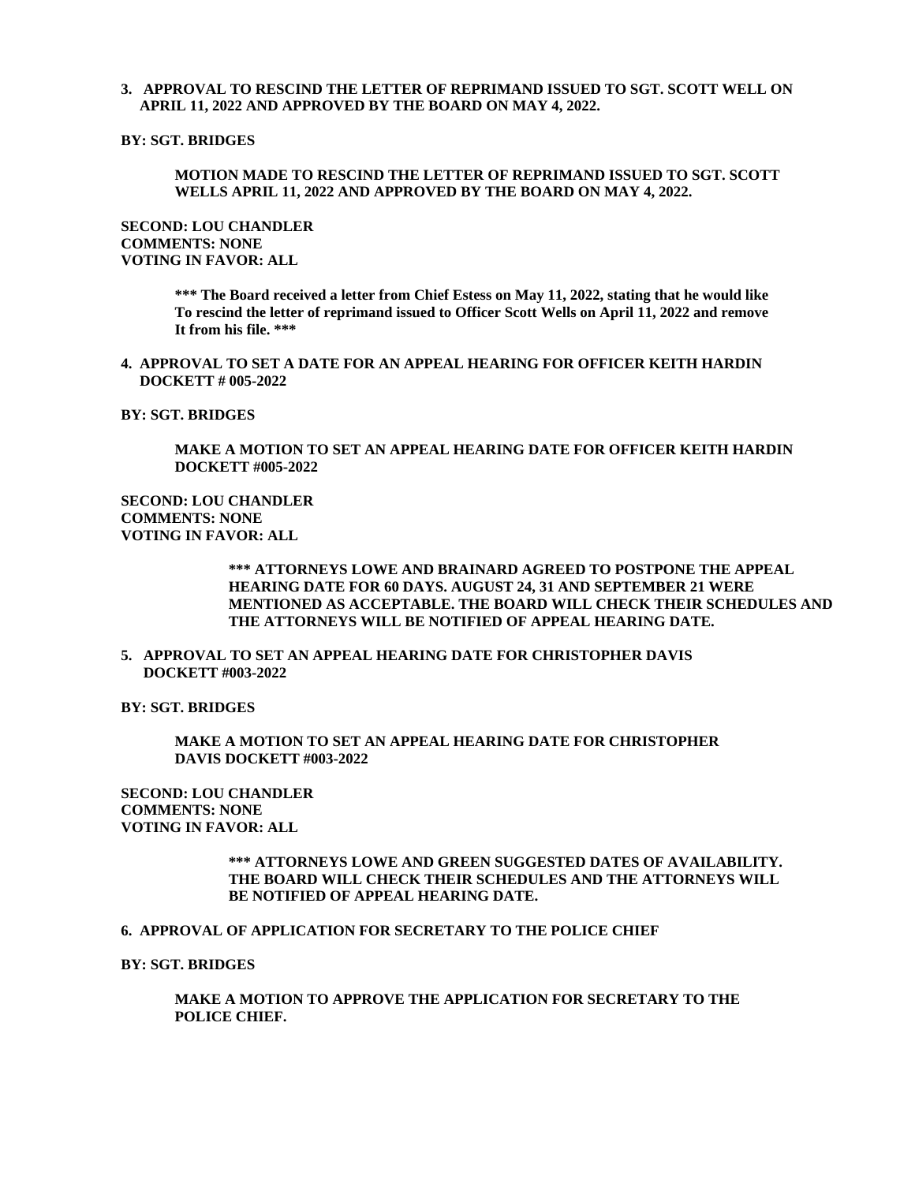### **3. APPROVAL TO RESCIND THE LETTER OF REPRIMAND ISSUED TO SGT. SCOTT WELL ON APRIL 11, 2022 AND APPROVED BY THE BOARD ON MAY 4, 2022.**

## **BY: SGT. BRIDGES**

### **MOTION MADE TO RESCIND THE LETTER OF REPRIMAND ISSUED TO SGT. SCOTT WELLS APRIL 11, 2022 AND APPROVED BY THE BOARD ON MAY 4, 2022.**

**SECOND: LOU CHANDLER COMMENTS: NONE VOTING IN FAVOR: ALL**

> **\*\*\* The Board received a letter from Chief Estess on May 11, 2022, stating that he would like To rescind the letter of reprimand issued to Officer Scott Wells on April 11, 2022 and remove It from his file. \*\*\***

**4. APPROVAL TO SET A DATE FOR AN APPEAL HEARING FOR OFFICER KEITH HARDIN DOCKETT # 005-2022**

**BY: SGT. BRIDGES**

**MAKE A MOTION TO SET AN APPEAL HEARING DATE FOR OFFICER KEITH HARDIN DOCKETT #005-2022**

**SECOND: LOU CHANDLER COMMENTS: NONE VOTING IN FAVOR: ALL**

> **\*\*\* ATTORNEYS LOWE AND BRAINARD AGREED TO POSTPONE THE APPEAL HEARING DATE FOR 60 DAYS. AUGUST 24, 31 AND SEPTEMBER 21 WERE MENTIONED AS ACCEPTABLE. THE BOARD WILL CHECK THEIR SCHEDULES AND THE ATTORNEYS WILL BE NOTIFIED OF APPEAL HEARING DATE.**

**5. APPROVAL TO SET AN APPEAL HEARING DATE FOR CHRISTOPHER DAVIS DOCKETT #003-2022**

**BY: SGT. BRIDGES**

**MAKE A MOTION TO SET AN APPEAL HEARING DATE FOR CHRISTOPHER DAVIS DOCKETT #003-2022**

**SECOND: LOU CHANDLER COMMENTS: NONE VOTING IN FAVOR: ALL**

## **\*\*\* ATTORNEYS LOWE AND GREEN SUGGESTED DATES OF AVAILABILITY. THE BOARD WILL CHECK THEIR SCHEDULES AND THE ATTORNEYS WILL BE NOTIFIED OF APPEAL HEARING DATE.**

#### **6. APPROVAL OF APPLICATION FOR SECRETARY TO THE POLICE CHIEF**

#### **BY: SGT. BRIDGES**

**MAKE A MOTION TO APPROVE THE APPLICATION FOR SECRETARY TO THE POLICE CHIEF.**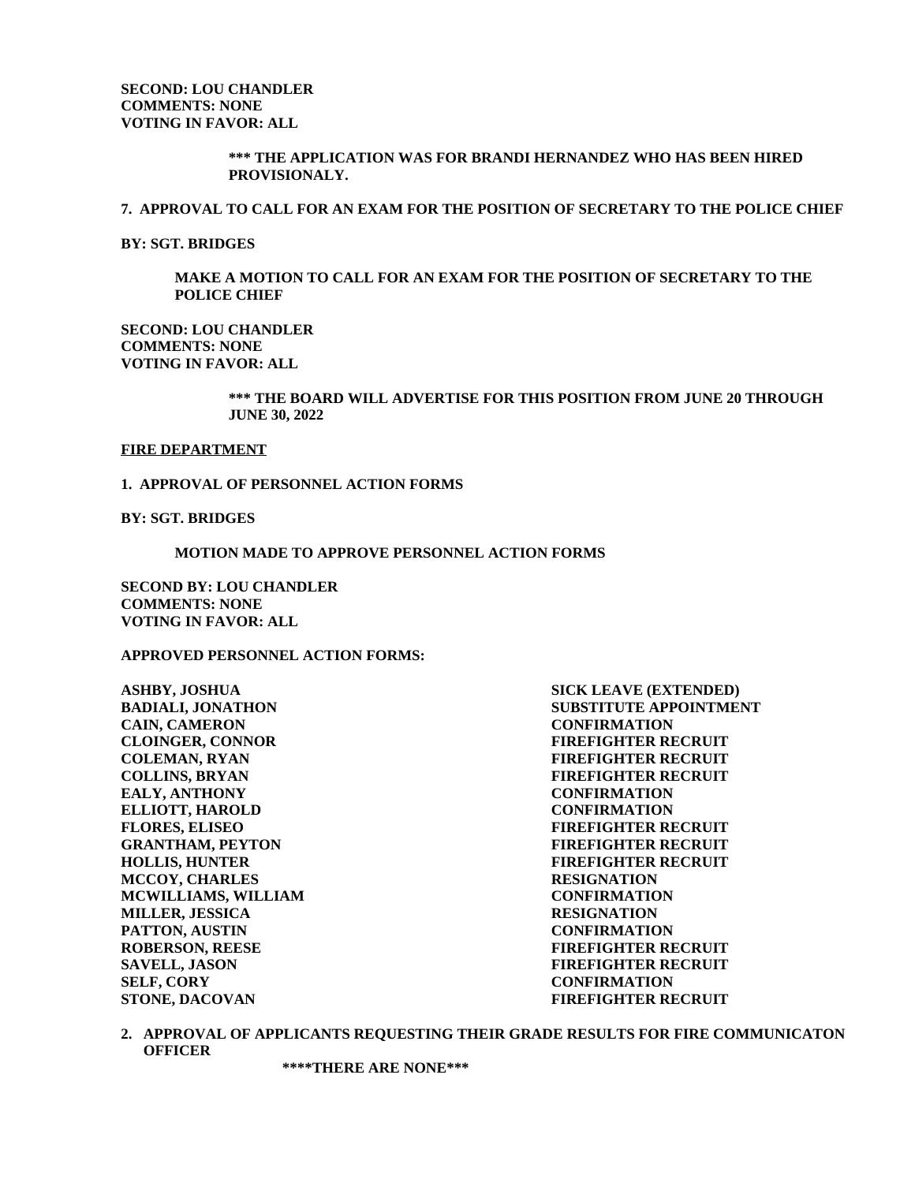## **\*\*\* THE APPLICATION WAS FOR BRANDI HERNANDEZ WHO HAS BEEN HIRED PROVISIONALY.**

#### **7. APPROVAL TO CALL FOR AN EXAM FOR THE POSITION OF SECRETARY TO THE POLICE CHIEF**

**BY: SGT. BRIDGES**

**MAKE A MOTION TO CALL FOR AN EXAM FOR THE POSITION OF SECRETARY TO THE POLICE CHIEF**

**SECOND: LOU CHANDLER COMMENTS: NONE VOTING IN FAVOR: ALL**

> **\*\*\* THE BOARD WILL ADVERTISE FOR THIS POSITION FROM JUNE 20 THROUGH JUNE 30, 2022**

#### **FIRE DEPARTMENT**

#### **1. APPROVAL OF PERSONNEL ACTION FORMS**

**BY: SGT. BRIDGES**

**MOTION MADE TO APPROVE PERSONNEL ACTION FORMS**

**SECOND BY: LOU CHANDLER COMMENTS: NONE VOTING IN FAVOR: ALL**

### **APPROVED PERSONNEL ACTION FORMS:**

**ASHBY, JOSHUA SICK LEAVE (EXTENDED) CAIN, CAMERON CONFIRMATION CLOINGER, CONNOR FIREFIGHTER RECRUIT COLEMAN, RYAN FIREFIGHTER RECRUIT COLLINS, BRYAN FIREFIGHTER RECRUIT EALY, ANTHONY CONFIRMATION ELLIOTT, HAROLD CONFIRMATION FLORES, ELISEO FIREFIGHTER RECRUIT GRANTHAM, PEYTON FIREFIGHTER RECRUIT HOLLIS, HUNTER FIREFIGHTER RECRUIT MCCOY, CHARLES RESIGNATION MCWILLIAMS, WILLIAM CONFIRMATION MILLER, JESSICA RESIGNATION PATTON, AUSTIN CONFIRMATION ROBERSON, REESE FIREFIGHTER RECRUIT SAVELL, JASON FIREFIGHTER RECRUIT SELF, CORY CONFIRMATION**

**BADIALI, JONATHON SUBSTITUTE APPOINTMENT STONE, DACOVAN FIREFIGHTER RECRUIT**

**2. APPROVAL OF APPLICANTS REQUESTING THEIR GRADE RESULTS FOR FIRE COMMUNICATON OFFICER**

**\*\*\*\*THERE ARE NONE\*\*\***